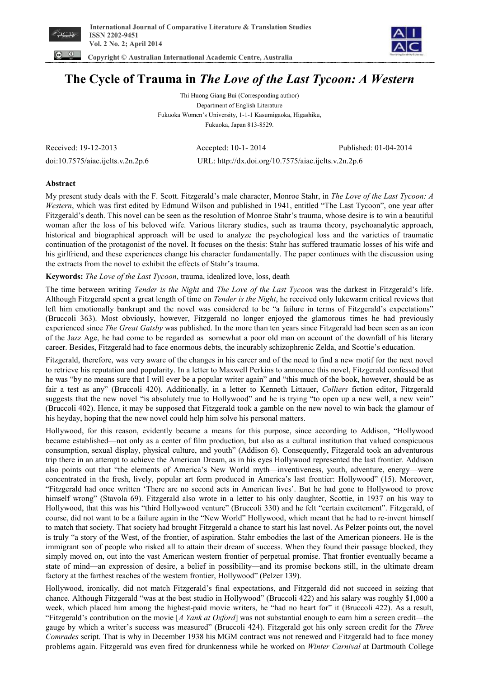

 **Copyright © Australian International Academic Centre, Australia** 



**The Cycle of Trauma in** *The Love of the Last Tycoon: A Western* 

Thi Huong Giang Bui (Corresponding author) Department of English Literature Fukuoka Women's University, 1-1-1 Kasumigaoka, Higashiku, Fukuoka, Japan 813-8529.

Received: 19-12-2013 Accepted: 10-1- 2014 Published: 01-04-2014

doi:10.7575/aiac.ijclts.v.2n.2p.6 URL: http://dx.doi.org/10.7575/aiac.ijclts.v.2n.2p.6

## **Abstract**

My present study deals with the F. Scott. Fitzgerald's male character, Monroe Stahr, in *The Love of the Last Tycoon: A Western*, which was first edited by Edmund Wilson and published in 1941, entitled "The Last Tycoon", one year after Fitzgerald's death. This novel can be seen as the resolution of Monroe Stahr's trauma, whose desire is to win a beautiful woman after the loss of his beloved wife. Various literary studies, such as trauma theory, psychoanalytic approach, historical and biographical approach will be used to analyze the psychological loss and the varieties of traumatic continuation of the protagonist of the novel. It focuses on the thesis: Stahr has suffered traumatic losses of his wife and his girlfriend, and these experiences change his character fundamentally. The paper continues with the discussion using the extracts from the novel to exhibit the effects of Stahr's trauma.

## **Keywords:** *The Love of the Last Tycoon*, trauma, idealized love, loss, death

The time between writing *Tender is the Night* and *The Love of the Last Tycoon* was the darkest in Fitzgerald's life. Although Fitzgerald spent a great length of time on *Tender is the Night*, he received only lukewarm critical reviews that left him emotionally bankrupt and the novel was considered to be "a failure in terms of Fitzgerald's expectations" (Bruccoli 363). Most obviously, however, Fitzgerald no longer enjoyed the glamorous times he had previously experienced since *The Great Gatsby* was published. In the more than ten years since Fitzgerald had been seen as an icon of the Jazz Age, he had come to be regarded as somewhat a poor old man on account of the downfall of his literary career. Besides, Fitzgerald had to face enormous debts, the incurably schizophrenic Zelda, and Scottie's education.

Fitzgerald, therefore, was very aware of the changes in his career and of the need to find a new motif for the next novel to retrieve his reputation and popularity. In a letter to Maxwell Perkins to announce this novel, Fitzgerald confessed that he was "by no means sure that I will ever be a popular writer again" and "this much of the book, however, should be as fair a test as any" (Bruccoli 420). Additionally, in a letter to Kenneth Littauer, *Colliers* fiction editor, Fitzgerald suggests that the new novel "is absolutely true to Hollywood" and he is trying "to open up a new well, a new vein" (Bruccoli 402). Hence, it may be supposed that Fitzgerald took a gamble on the new novel to win back the glamour of his heyday, hoping that the new novel could help him solve his personal matters.

Hollywood, for this reason, evidently became a means for this purpose, since according to Addison, "Hollywood became established—not only as a center of film production, but also as a cultural institution that valued conspicuous consumption, sexual display, physical culture, and youth" (Addison 6). Consequently, Fitzgerald took an adventurous trip there in an attempt to achieve the American Dream, as in his eyes Hollywood represented the last frontier. Addison also points out that "the elements of America's New World myth—inventiveness, youth, adventure, energy—were concentrated in the fresh, lively, popular art form produced in America's last frontier: Hollywood" (15). Moreover, "Fitzgerald had once written 'There are no second acts in American lives'. But he had gone to Hollywood to prove himself wrong" (Stavola 69). Fitzgerald also wrote in a letter to his only daughter. Scottie, in 1937 on his way to Hollywood, that this was his "third Hollywood venture" (Bruccoli 330) and he felt "certain excitement". Fitzgerald, of course, did not want to be a failure again in the "New World" Hollywood, which meant that he had to re-invent himself to match that society. That society had brought Fitzgerald a chance to start his last novel. As Pelzer points out, the novel is truly "a story of the West, of the frontier, of aspiration. Stahr embodies the last of the American pioneers. He is the immigrant son of people who risked all to attain their dream of success. When they found their passage blocked, they simply moved on, out into the vast American western frontier of perpetual promise. That frontier eventually became a state of mind—an expression of desire, a belief in possibility—and its promise beckons still, in the ultimate dream factory at the farthest reaches of the western frontier, Hollywood" (Pelzer 139).

Hollywood, ironically, did not match Fitzgerald's final expectations, and Fitzgerald did not succeed in seizing that chance. Although Fitzgerald "was at the best studio in Hollywood" (Bruccoli 422) and his salary was roughly \$1,000 a week, which placed him among the highest-paid movie writers, he "had no heart for" it (Bruccoli 422). As a result, "Fitzgerald's contribution on the movie [*A Yank at Oxford*] was not substantial enough to earn him a screen credit—the gauge by which a writer's success was measured" (Bruccoli 424). Fitzgerald got his only screen credit for the *Three Comrades* script. That is why in December 1938 his MGM contract was not renewed and Fitzgerald had to face money problems again. Fitzgerald was even fired for drunkenness while he worked on *Winter Carnival* at Dartmouth College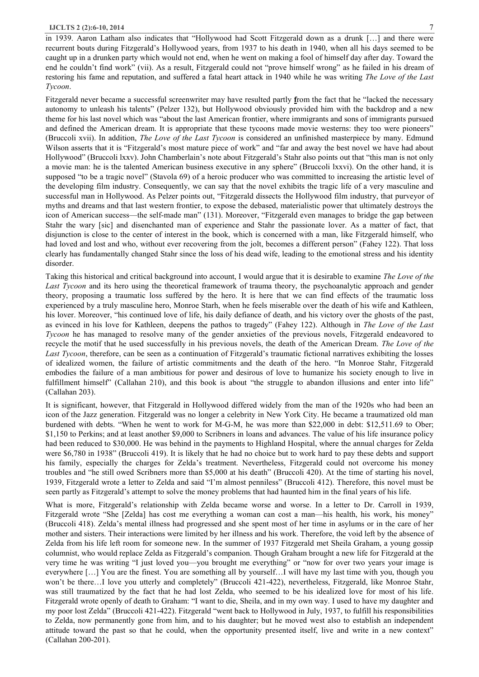in 1939. Aaron Latham also indicates that "Hollywood had Scott Fitzgerald down as a drunk […] and there were recurrent bouts during Fitzgerald's Hollywood years, from 1937 to his death in 1940, when all his days seemed to be caught up in a drunken party which would not end, when he went on making a fool of himself day after day. Toward the end he couldn't find work" (vii). As a result, Fitzgerald could not "prove himself wrong" as he failed in his dream of restoring his fame and reputation, and suffered a fatal heart attack in 1940 while he was writing *The Love of the Last Tycoon*.

Fitzgerald never became a successful screenwriter may have resulted partly **f**rom the fact that he "lacked the necessary autonomy to unleash his talents" (Pelzer 132), but Hollywood obviously provided him with the backdrop and a new theme for his last novel which was "about the last American frontier, where immigrants and sons of immigrants pursued and defined the American dream. It is appropriate that these tycoons made movie westerns: they too were pioneers" (Bruccoli xvii). In addition, *The Love of the Last Tycoon* is considered an unfinished masterpiece by many. Edmund Wilson asserts that it is "Fitzgerald's most mature piece of work" and "far and away the best novel we have had about Hollywood" (Bruccoli lxxv). John Chamberlain's note about Fitzgerald's Stahr also points out that "this man is not only a movie man: he is the talented American business executive in any sphere" (Bruccoli lxxvi). On the other hand, it is supposed "to be a tragic novel" (Stavola 69) of a heroic producer who was committed to increasing the artistic level of the developing film industry. Consequently, we can say that the novel exhibits the tragic life of a very masculine and successful man in Hollywood. As Pelzer points out, "Fitzgerald dissects the Hollywood film industry, that purveyor of myths and dreams and that last western frontier, to expose the debased, materialistic power that ultimately destroys the icon of American success—the self-made man" (131). Moreover, "Fitzgerald even manages to bridge the gap between Stahr the wary [sic] and disenchanted man of experience and Stahr the passionate lover. As a matter of fact, that disjunction is close to the center of interest in the book, which is concerned with a man, like Fitzgerald himself, who had loved and lost and who, without ever recovering from the jolt, becomes a different person" (Fahey 122). That loss clearly has fundamentally changed Stahr since the loss of his dead wife, leading to the emotional stress and his identity disorder.

Taking this historical and critical background into account, I would argue that it is desirable to examine *The Love of the Last Tycoon* and its hero using the theoretical framework of trauma theory, the psychoanalytic approach and gender theory, proposing a traumatic loss suffered by the hero. It is here that we can find effects of the traumatic loss experienced by a truly masculine hero, Monroe Starh, when he feels miserable over the death of his wife and Kathleen, his lover. Moreover, "his continued love of life, his daily defiance of death, and his victory over the ghosts of the past, as evinced in his love for Kathleen, deepens the pathos to tragedy" (Fahey 122). Although in *The Love of the Last Tycoon* he has managed to resolve many of the gender anxieties of the previous novels, Fitzgerald endeavored to recycle the motif that he used successfully in his previous novels, the death of the American Dream. *The Love of the Last Tycoon*, therefore, can be seen as a continuation of Fitzgerald's traumatic fictional narratives exhibiting the losses of idealized women, the failure of artistic commitments and the death of the hero. "In Monroe Stahr, Fitzgerald embodies the failure of a man ambitious for power and desirous of love to humanize his society enough to live in fulfillment himself" (Callahan 210), and this book is about "the struggle to abandon illusions and enter into life" (Callahan 203).

It is significant, however, that Fitzgerald in Hollywood differed widely from the man of the 1920s who had been an icon of the Jazz generation. Fitzgerald was no longer a celebrity in New York City. He became a traumatized old man burdened with debts. "When he went to work for M-G-M, he was more than \$22,000 in debt: \$12,511.69 to Ober; \$1,150 to Perkins; and at least another \$9,000 to Scribners in loans and advances. The value of his life insurance policy had been reduced to \$30,000. He was behind in the payments to Highland Hospital, where the annual charges for Zelda were \$6,780 in 1938" (Bruccoli 419). It is likely that he had no choice but to work hard to pay these debts and support his family, especially the charges for Zelda's treatment. Nevertheless, Fitzgerald could not overcome his money troubles and "he still owed Scribners more than \$5,000 at his death" (Bruccoli 420). At the time of starting his novel, 1939, Fitzgerald wrote a letter to Zelda and said "I'm almost penniless" (Bruccoli 412). Therefore, this novel must be seen partly as Fitzgerald's attempt to solve the money problems that had haunted him in the final years of his life.

What is more, Fitzgerald's relationship with Zelda became worse and worse. In a letter to Dr. Carroll in 1939, Fitzgerald wrote "She [Zelda] has cost me everything a woman can cost a man—his health, his work, his money" (Bruccoli 418). Zelda's mental illness had progressed and she spent most of her time in asylums or in the care of her mother and sisters. Their interactions were limited by her illness and his work. Therefore, the void left by the absence of Zelda from his life left room for someone new. In the summer of 1937 Fitzgerald met Sheila Graham, a young gossip columnist, who would replace Zelda as Fitzgerald's companion. Though Graham brought a new life for Fitzgerald at the very time he was writing "I just loved you—you brought me everything" or "now for over two years your image is everywhere […] You are the finest. You are something all by yourself…I will have my last time with you, though you won't be there...I love you utterly and completely" (Bruccoli 421-422), nevertheless, Fitzgerald, like Monroe Stahr, was still traumatized by the fact that he had lost Zelda, who seemed to be his idealized love for most of his life. Fitzgerald wrote openly of death to Graham: "I want to die, Sheila, and in my own way. I used to have my daughter and my poor lost Zelda" (Bruccoli 421-422). Fitzgerald "went back to Hollywood in July, 1937, to fulfill his responsibilities to Zelda, now permanently gone from him, and to his daughter; but he moved west also to establish an independent attitude toward the past so that he could, when the opportunity presented itself, live and write in a new context" (Callahan 200-201).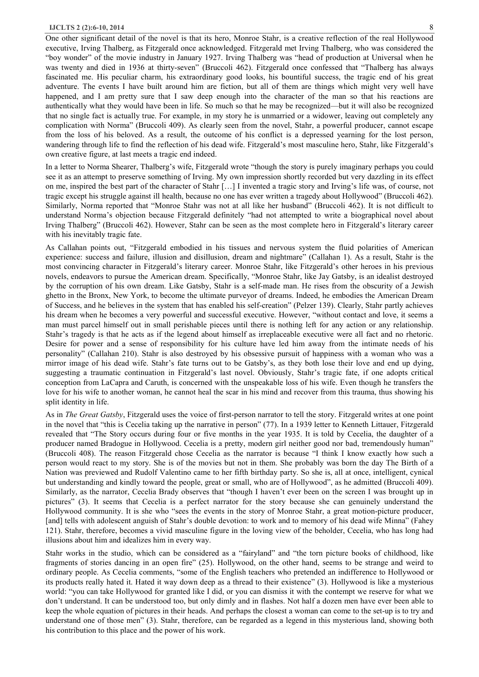One other significant detail of the novel is that its hero, Monroe Stahr, is a creative reflection of the real Hollywood executive, Irving Thalberg, as Fitzgerald once acknowledged. Fitzgerald met Irving Thalberg, who was considered the "boy wonder" of the movie industry in January 1927. Irving Thalberg was "head of production at Universal when he was twenty and died in 1936 at thirty-seven" (Bruccoli 462). Fitzgerald once confessed that "Thalberg has always fascinated me. His peculiar charm, his extraordinary good looks, his bountiful success, the tragic end of his great adventure. The events I have built around him are fiction, but all of them are things which might very well have happened, and I am pretty sure that I saw deep enough into the character of the man so that his reactions are authentically what they would have been in life. So much so that he may be recognized—but it will also be recognized that no single fact is actually true. For example, in my story he is unmarried or a widower, leaving out completely any complication with Norma" (Bruccoli 409). As clearly seen from the novel, Stahr, a powerful producer, cannot escape from the loss of his beloved. As a result, the outcome of his conflict is a depressed yearning for the lost person, wandering through life to find the reflection of his dead wife. Fitzgerald's most masculine hero, Stahr, like Fitzgerald's own creative figure, at last meets a tragic end indeed.

In a letter to Norma Shearer, Thalberg's wife, Fitzgerald wrote "though the story is purely imaginary perhaps you could see it as an attempt to preserve something of Irving. My own impression shortly recorded but very dazzling in its effect on me, inspired the best part of the character of Stahr […] I invented a tragic story and Irving's life was, of course, not tragic except his struggle against ill health, because no one has ever written a tragedy about Hollywood" (Bruccoli 462). Similarly, Norma reported that "Monroe Stahr was not at all like her husband" (Bruccoli 462). It is not difficult to understand Norma's objection because Fitzgerald definitely "had not attempted to write a biographical novel about Irving Thalberg" (Bruccoli 462). However, Stahr can be seen as the most complete hero in Fitzgerald's literary career with his inevitably tragic fate.

As Callahan points out, "Fitzgerald embodied in his tissues and nervous system the fluid polarities of American experience: success and failure, illusion and disillusion, dream and nightmare" (Callahan 1). As a result, Stahr is the most convincing character in Fitzgerald's literary career. Monroe Stahr, like Fitzgerald's other heroes in his previous novels, endeavors to pursue the American dream. Specifically, "Monroe Stahr, like Jay Gatsby, is an idealist destroyed by the corruption of his own dream. Like Gatsby, Stahr is a self-made man. He rises from the obscurity of a Jewish ghetto in the Bronx, New York, to become the ultimate purveyor of dreams. Indeed, he embodies the American Dream of Success, and he believes in the system that has enabled his self-creation" (Pelzer 139). Clearly, Stahr partly achieves his dream when he becomes a very powerful and successful executive. However, "without contact and love, it seems a man must parcel himself out in small perishable pieces until there is nothing left for any action or any relationship. Stahr's tragedy is that he acts as if the legend about himself as irreplaceable executive were all fact and no rhetoric. Desire for power and a sense of responsibility for his culture have led him away from the intimate needs of his personality" (Callahan 210). Stahr is also destroyed by his obsessive pursuit of happiness with a woman who was a mirror image of his dead wife. Stahr's fate turns out to be Gatsby's, as they both lose their love and end up dying, suggesting a traumatic continuation in Fitzgerald's last novel. Obviously, Stahr's tragic fate, if one adopts critical conception from LaCapra and Caruth, is concerned with the unspeakable loss of his wife. Even though he transfers the love for his wife to another woman, he cannot heal the scar in his mind and recover from this trauma, thus showing his split identity in life.

As in *The Great Gatsby*, Fitzgerald uses the voice of first-person narrator to tell the story. Fitzgerald writes at one point in the novel that "this is Cecelia taking up the narrative in person" (77). In a 1939 letter to Kenneth Littauer, Fitzgerald revealed that "The Story occurs during four or five months in the year 1935. It is told by Cecelia, the daughter of a producer named Bradogue in Hollywood. Cecelia is a pretty, modern girl neither good nor bad, tremendously human" (Bruccoli 408). The reason Fitzgerald chose Cecelia as the narrator is because "I think I know exactly how such a person would react to my story. She is of the movies but not in them. She probably was born the day The Birth of a Nation was previewed and Rudolf Valentino came to her fifth birthday party. So she is, all at once, intelligent, cynical but understanding and kindly toward the people, great or small, who are of Hollywood", as he admitted (Bruccoli 409). Similarly, as the narrator, Cecelia Brady observes that "though I haven't ever been on the screen I was brought up in pictures" (3). It seems that Cecelia is a perfect narrator for the story because she can genuinely understand the Hollywood community. It is she who "sees the events in the story of Monroe Stahr, a great motion-picture producer, [and] tells with adolescent anguish of Stahr's double devotion: to work and to memory of his dead wife Minna" (Fahey 121). Stahr, therefore, becomes a vivid masculine figure in the loving view of the beholder, Cecelia, who has long had illusions about him and idealizes him in every way.

Stahr works in the studio, which can be considered as a "fairyland" and "the torn picture books of childhood, like fragments of stories dancing in an open fire" (25). Hollywood, on the other hand, seems to be strange and weird to ordinary people. As Cecelia comments, "some of the English teachers who pretended an indifference to Hollywood or its products really hated it. Hated it way down deep as a thread to their existence" (3). Hollywood is like a mysterious world: "you can take Hollywood for granted like I did, or you can dismiss it with the contempt we reserve for what we don't understand. It can be understood too, but only dimly and in flashes. Not half a dozen men have ever been able to keep the whole equation of pictures in their heads. And perhaps the closest a woman can come to the set-up is to try and understand one of those men" (3). Stahr, therefore, can be regarded as a legend in this mysterious land, showing both his contribution to this place and the power of his work.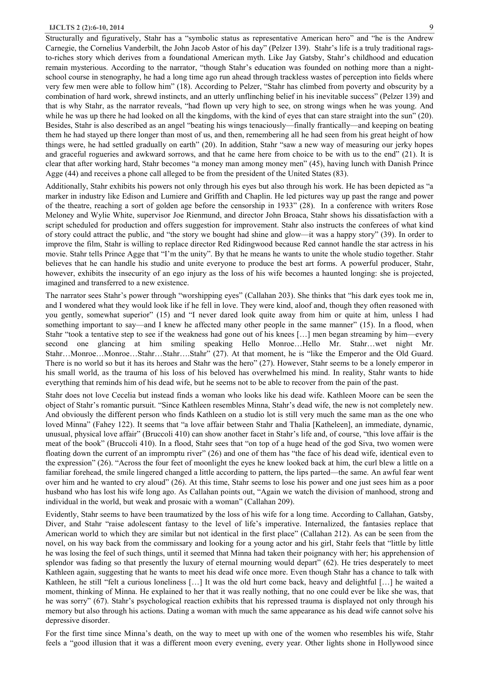Structurally and figuratively, Stahr has a "symbolic status as representative American hero" and "he is the Andrew Carnegie, the Cornelius Vanderbilt, the John Jacob Astor of his day" (Pelzer 139). Stahr's life is a truly traditional ragsto-riches story which derives from a foundational American myth. Like Jay Gatsby, Stahr's childhood and education remain mysterious. According to the narrator, "though Stahr's education was founded on nothing more than a nightschool course in stenography, he had a long time ago run ahead through trackless wastes of perception into fields where very few men were able to follow him" (18). According to Pelzer, "Stahr has climbed from poverty and obscurity by a combination of hard work, shrewd instincts, and an utterly unflinching belief in his inevitable success" (Pelzer 139) and that is why Stahr, as the narrator reveals, "had flown up very high to see, on strong wings when he was young. And while he was up there he had looked on all the kingdoms, with the kind of eyes that can stare straight into the sun" (20). Besides, Stahr is also described as an angel "beating his wings tenaciously—finally frantically—and keeping on beating them he had stayed up there longer than most of us, and then, remembering all he had seen from his great height of how things were, he had settled gradually on earth" (20). In addition, Stahr "saw a new way of measuring our jerky hopes and graceful rogueries and awkward sorrows, and that he came here from choice to be with us to the end" (21). It is clear that after working hard, Stahr becomes "a money man among money men" (45), having lunch with Danish Prince Agge (44) and receives a phone call alleged to be from the president of the United States (83).

Additionally, Stahr exhibits his powers not only through his eyes but also through his work. He has been depicted as "a marker in industry like Edison and Lumiere and Griffith and Chaplin. He led pictures way up past the range and power of the theatre, reaching a sort of golden age before the censorship in 1933" (28). In a conference with writers Rose Meloney and Wylie White, supervisor Joe Rienmund, and director John Broaca, Stahr shows his dissatisfaction with a script scheduled for production and offers suggestion for improvement. Stahr also instructs the conferees of what kind of story could attract the public, and "the story we bought had shine and glow—it was a happy story" (39). In order to improve the film, Stahr is willing to replace director Red Ridingwood because Red cannot handle the star actress in his movie. Stahr tells Prince Agge that "I'm the unity". By that he means he wants to unite the whole studio together. Stahr believes that he can handle his studio and unite everyone to produce the best art forms. A powerful producer, Stahr, however, exhibits the insecurity of an ego injury as the loss of his wife becomes a haunted longing: she is projected, imagined and transferred to a new existence.

The narrator sees Stahr's power through "worshipping eyes" (Callahan 203). She thinks that "his dark eyes took me in, and I wondered what they would look like if he fell in love. They were kind, aloof and, though they often reasoned with you gently, somewhat superior" (15) and "I never dared look quite away from him or quite at him, unless I had something important to say—and I knew he affected many other people in the same manner" (15). In a flood, when Stahr "took a tentative step to see if the weakness had gone out of his knees […] men began streaming by him—every second one glancing at him smiling speaking Hello Monroe…Hello Mr. Stahr…wet night Mr. Stahr…Monroe…Monroe…Stahr…Stahr….Stahr" (27). At that moment, he is "like the Emperor and the Old Guard. There is no world so but it has its heroes and Stahr was the hero" (27). However, Stahr seems to be a lonely emperor in his small world, as the trauma of his loss of his beloved has overwhelmed his mind. In reality, Stahr wants to hide everything that reminds him of his dead wife, but he seems not to be able to recover from the pain of the past.

Stahr does not love Cecelia but instead finds a woman who looks like his dead wife. Kathleen Moore can be seen the object of Stahr's romantic pursuit. "Since Kathleen resembles Minna, Stahr's dead wife, the new is not completely new. And obviously the different person who finds Kathleen on a studio lot is still very much the same man as the one who loved Minna" (Fahey 122). It seems that "a love affair between Stahr and Thalia [Katheleen], an immediate, dynamic, unusual, physical love affair" (Bruccoli 410) can show another facet in Stahr's life and, of course, "this love affair is the meat of the book" (Bruccoli 410). In a flood, Stahr sees that "on top of a huge head of the god Siva, two women were floating down the current of an impromptu river" (26) and one of them has "the face of his dead wife, identical even to the expression" (26). "Across the four feet of moonlight the eyes he knew looked back at him, the curl blew a little on a familiar forehead, the smile lingered changed a little according to pattern, the lips parted—the same. An awful fear went over him and he wanted to cry aloud" (26). At this time, Stahr seems to lose his power and one just sees him as a poor husband who has lost his wife long ago. As Callahan points out, "Again we watch the division of manhood, strong and individual in the world, but weak and prosaic with a woman" (Callahan 209).

Evidently, Stahr seems to have been traumatized by the loss of his wife for a long time. According to Callahan, Gatsby, Diver, and Stahr "raise adolescent fantasy to the level of life's imperative. Internalized, the fantasies replace that American world to which they are similar but not identical in the first place" (Callahan 212). As can be seen from the novel, on his way back from the commissary and looking for a young actor and his girl, Stahr feels that "little by little he was losing the feel of such things, until it seemed that Minna had taken their poignancy with her; his apprehension of splendor was fading so that presently the luxury of eternal mourning would depart" (62). He tries desperately to meet Kathleen again, suggesting that he wants to meet his dead wife once more. Even though Stahr has a chance to talk with Kathleen, he still "felt a curious loneliness […] It was the old hurt come back, heavy and delightful […] he waited a moment, thinking of Minna. He explained to her that it was really nothing, that no one could ever be like she was, that he was sorry" (67). Stahr's psychological reaction exhibits that his repressed trauma is displayed not only through his memory but also through his actions. Dating a woman with much the same appearance as his dead wife cannot solve his depressive disorder.

For the first time since Minna's death, on the way to meet up with one of the women who resembles his wife, Stahr feels a "good illusion that it was a different moon every evening, every year. Other lights shone in Hollywood since